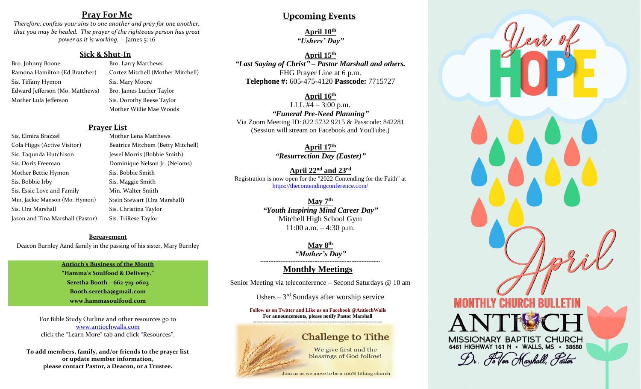## **Pray For Me**

*Therefore, confess your sins to one another and pray for one another, that you may be healed. The prayer of the righteous person has great power as it is working.* - James 5: 16

#### **Sick & Shut-In**

Bro. Johnny Boone Bro. Larry Matthews Sis. Tiffany Hymon Sis. Mary Moore Edward Jefferson (Mo. Matthews) Bro. James Luther Taylor Mother Lula Jefferson Sis. Dorothy Reese Taylor

Ramona Hamilton (Ed Bratcher) Cortez Mitchell (Mother Mitchell) Mother Willie Mae Woods

#### **Prayer List**

Sis. Elmira Brazzel Mother Lena Matthews Cola Higgs (Active Visitor) Beatrice Mitchem (Betty Mitchell) Sis. Taqunda Hutchison Jewel Morris (Bobbie Smith) Sis. Doris Freeman Dominique Nelson Jr. (Neloms) Mother Bettie Hymon Sis. Bobbie Smith Sis. Bobbie Irby Sis. Maggie Smith Sis. Essie Love and Family Min. Walter Smith Min. Jackie Manson (Mo. Hymon) Stein Stewart (Ora Marshall) Sis. Ora Marshall Sis. Christina Taylor Jason and Tina Marshall (Pastor) Sis. TriRese Taylor

#### **Bereavement**

Deacon Burnley Aand family in the passing of his sister, Mary Burnley

#### **Antioch's Business of the Month**

**"Hamma's Soulfood & Delivery." Seretha Booth – 662-719-0603 Booth.seretha@gmail.com [www.hammasoulfood.com](http://www.hammasoulfood.com/)**

For Bible Study Outline and other resources go to [www.antiochwalls.com](http://www.antiochwalls.com/) click the "Learn More" tab and click "Resources".

**To add members, family, and/or friends to the prayer list or update member information, please contact Pastor, a Deacon, or a Trustee.**

**Upcoming Events**

**April 10th** *"Ushers' Day"*

**April 15th** *"Last Saying of Christ" – Pastor Marshall and others.* FHG Prayer Line at 6 p.m. **Telephone #:** 605-475-4120 **Passcode:** 7715727

#### **April 16th**

LLL  $\sqrt{44 - 3:00}$  p.m. *"Funeral Pre-Need Planning"* Via Zoom Meeting ID: 822 5732 9215 & Passcode: 842281 (Session will stream on Facebook and YouTube.)

> **April 17th** *"Resurrection Day (Easter)"*

**April 22nd and 23rd** Registration is now open for the "2022 Contending for the Faith" at <https://thecontendingconference.com/>

> **May 7th** *"Youth Inspiring Mind Career Day"* Mitchell High School Gym  $11:00$  a.m.  $-4:30$  p.m.

> > **May 8th** *"Mother's Day"*

#### ----------------------------------------------------------------------- **Monthly Meetings**

Senior Meeting via teleconference – Second Saturdays @ 10 am

Ushers  $-3<sup>rd</sup>$  Sundays after worship service

**Follow us on Twitter and Like us on Facebook @AntiochWalls For announcements, please notify Pastor Marshall ----------------------------------------------------------------------------**

## **Challenge to Tithe**

We give first and the blessings of God follow!

Join us as we move to be a 100% tithing church

MISSIONARY BAPTIST CHURCH 6461 HIGHWAY 161 N · WALLS, MS · 38680 Dr. Hellon Marshall, Pastor